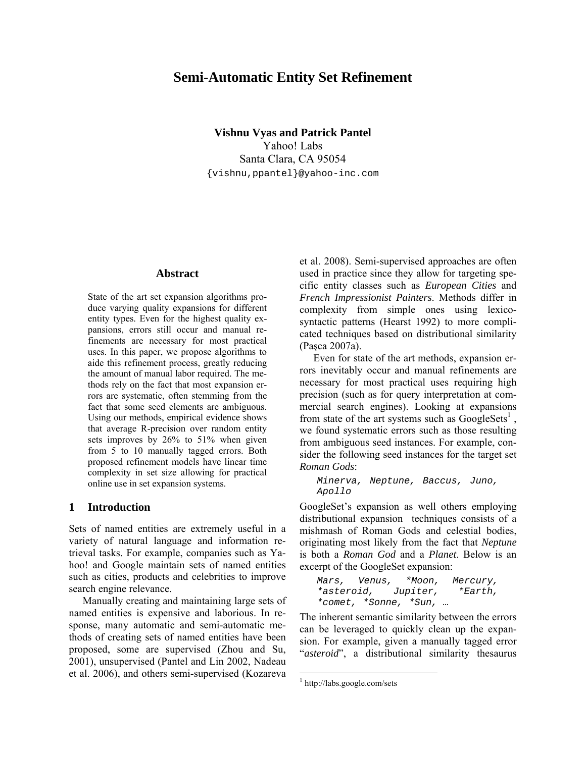# **Semi-Automatic Entity Set Refinement**

**Vishnu Vyas and Patrick Pantel**  Yahoo! Labs Santa Clara, CA 95054 {vishnu,ppantel}@yahoo-inc.com

#### **Abstract**

State of the art set expansion algorithms produce varying quality expansions for different entity types. Even for the highest quality expansions, errors still occur and manual refinements are necessary for most practical uses. In this paper, we propose algorithms to aide this refinement process, greatly reducing the amount of manual labor required. The methods rely on the fact that most expansion errors are systematic, often stemming from the fact that some seed elements are ambiguous. Using our methods, empirical evidence shows that average R-precision over random entity sets improves by 26% to 51% when given from 5 to 10 manually tagged errors. Both proposed refinement models have linear time complexity in set size allowing for practical online use in set expansion systems.

#### **1 Introduction**

Sets of named entities are extremely useful in a variety of natural language and information retrieval tasks. For example, companies such as Yahoo! and Google maintain sets of named entities such as cities, products and celebrities to improve search engine relevance.

Manually creating and maintaining large sets of named entities is expensive and laborious. In response, many automatic and semi-automatic methods of creating sets of named entities have been proposed, some are supervised (Zhou and Su, 2001), unsupervised (Pantel and Lin 2002, Nadeau et al. 2006), and others semi-supervised (Kozareva et al. 2008). Semi-supervised approaches are often used in practice since they allow for targeting specific entity classes such as *European Cities* and *French Impressionist Painters*. Methods differ in complexity from simple ones using lexicosyntactic patterns (Hearst 1992) to more complicated techniques based on distributional similarity (Paşca 2007a).

Even for state of the art methods, expansion errors inevitably occur and manual refinements are necessary for most practical uses requiring high precision (such as for query interpretation at commercial search engines). Looking at expansions from state of the art systems such as  $GoogleSets<sup>1</sup>$ , we found systematic errors such as those resulting from ambiguous seed instances. For example, consider the following seed instances for the target set *Roman Gods*:

```
Minerva, Neptune, Baccus, Juno, 
Apollo
```
GoogleSet's expansion as well others employing distributional expansion techniques consists of a mishmash of Roman Gods and celestial bodies, originating most likely from the fact that *Neptune* is both a *Roman God* and a *Planet*. Below is an excerpt of the GoogleSet expansion:

```
Mars, Venus, *Moon, Mercury, 
*asteroid, Jupiter, *Earth, 
*comet, *Sonne, *Sun, …
```
The inherent semantic similarity between the errors can be leveraged to quickly clean up the expansion. For example, given a manually tagged error "*asteroid*", a distributional similarity thesaurus

 $\overline{a}$ 

<sup>1</sup> http://labs.google.com/sets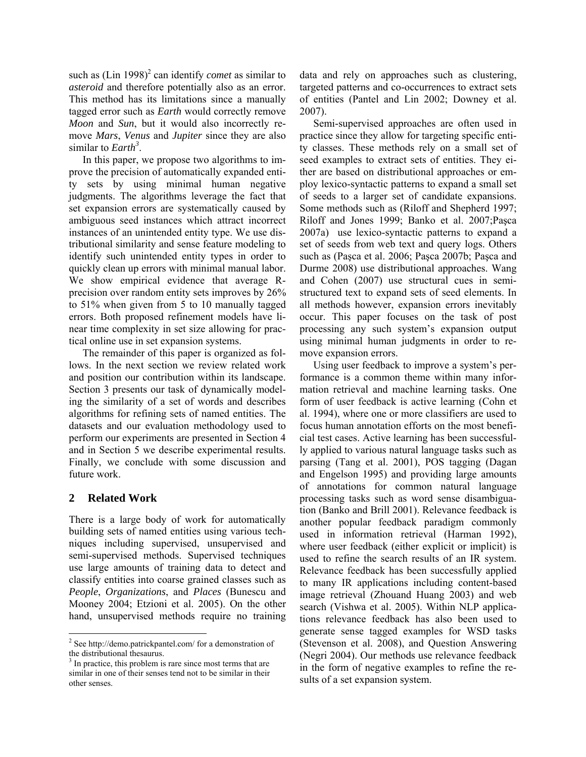such as  $(Lin 1998)^2$  can identify *comet* as similar to *asteroid* and therefore potentially also as an error. This method has its limitations since a manually tagged error such as *Earth* would correctly remove *Moon* and *Sun*, but it would also incorrectly remove *Mars*, *Venus* and *Jupiter* since they are also similar to *Earth<sup>3</sup>* .

In this paper, we propose two algorithms to improve the precision of automatically expanded entity sets by using minimal human negative judgments. The algorithms leverage the fact that set expansion errors are systematically caused by ambiguous seed instances which attract incorrect instances of an unintended entity type. We use distributional similarity and sense feature modeling to identify such unintended entity types in order to quickly clean up errors with minimal manual labor. We show empirical evidence that average Rprecision over random entity sets improves by 26% to 51% when given from 5 to 10 manually tagged errors. Both proposed refinement models have linear time complexity in set size allowing for practical online use in set expansion systems.

The remainder of this paper is organized as follows. In the next section we review related work and position our contribution within its landscape. Section 3 presents our task of dynamically modeling the similarity of a set of words and describes algorithms for refining sets of named entities. The datasets and our evaluation methodology used to perform our experiments are presented in Section 4 and in Section 5 we describe experimental results. Finally, we conclude with some discussion and future work.

## **2 Related Work**

 $\overline{a}$ 

There is a large body of work for automatically building sets of named entities using various techniques including supervised, unsupervised and semi-supervised methods. Supervised techniques use large amounts of training data to detect and classify entities into coarse grained classes such as *People*, *Organizations*, and *Places* (Bunescu and Mooney 2004; Etzioni et al. 2005). On the other hand, unsupervised methods require no training

data and rely on approaches such as clustering, targeted patterns and co-occurrences to extract sets of entities (Pantel and Lin 2002; Downey et al. 2007).

Semi-supervised approaches are often used in practice since they allow for targeting specific entity classes. These methods rely on a small set of seed examples to extract sets of entities. They either are based on distributional approaches or employ lexico-syntactic patterns to expand a small set of seeds to a larger set of candidate expansions. Some methods such as (Riloff and Shepherd 1997; Riloff and Jones 1999; Banko et al. 2007;Paşca 2007a) use lexico-syntactic patterns to expand a set of seeds from web text and query logs. Others such as (Paşca et al. 2006; Paşca 2007b; Paşca and Durme 2008) use distributional approaches. Wang and Cohen (2007) use structural cues in semistructured text to expand sets of seed elements. In all methods however, expansion errors inevitably occur. This paper focuses on the task of post processing any such system's expansion output using minimal human judgments in order to remove expansion errors.

Using user feedback to improve a system's performance is a common theme within many information retrieval and machine learning tasks. One form of user feedback is active learning (Cohn et al. 1994), where one or more classifiers are used to focus human annotation efforts on the most beneficial test cases. Active learning has been successfully applied to various natural language tasks such as parsing (Tang et al. 2001), POS tagging (Dagan and Engelson 1995) and providing large amounts of annotations for common natural language processing tasks such as word sense disambiguation (Banko and Brill 2001). Relevance feedback is another popular feedback paradigm commonly used in information retrieval (Harman 1992), where user feedback (either explicit or implicit) is used to refine the search results of an IR system. Relevance feedback has been successfully applied to many IR applications including content-based image retrieval (Zhouand Huang 2003) and web search (Vishwa et al. 2005). Within NLP applications relevance feedback has also been used to generate sense tagged examples for WSD tasks (Stevenson et al. 2008), and Question Answering (Negri 2004). Our methods use relevance feedback in the form of negative examples to refine the results of a set expansion system.

<sup>&</sup>lt;sup>2</sup> See http://demo.patrickpantel.com/ for a demonstration of the distributional thesaurus.

<sup>&</sup>lt;sup>3</sup> In practice, this problem is rare since most terms that are similar in one of their senses tend not to be similar in their other senses.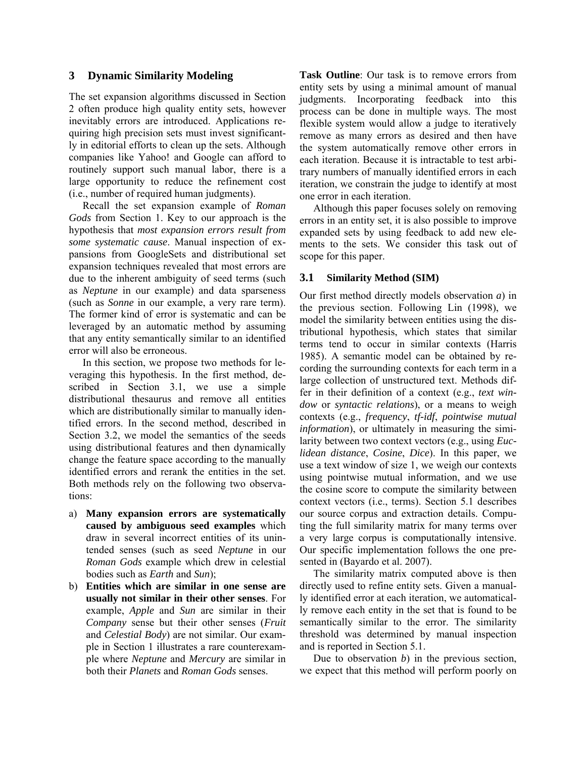## **3 Dynamic Similarity Modeling**

The set expansion algorithms discussed in Section 2 often produce high quality entity sets, however inevitably errors are introduced. Applications requiring high precision sets must invest significantly in editorial efforts to clean up the sets. Although companies like Yahoo! and Google can afford to routinely support such manual labor, there is a large opportunity to reduce the refinement cost (i.e., number of required human judgments).

Recall the set expansion example of *Roman Gods* from Section 1. Key to our approach is the hypothesis that *most expansion errors result from some systematic cause*. Manual inspection of expansions from GoogleSets and distributional set expansion techniques revealed that most errors are due to the inherent ambiguity of seed terms (such as *Neptune* in our example) and data sparseness (such as *Sonne* in our example, a very rare term). The former kind of error is systematic and can be leveraged by an automatic method by assuming that any entity semantically similar to an identified error will also be erroneous.

In this section, we propose two methods for leveraging this hypothesis. In the first method, described in Section 3.1, we use a simple distributional thesaurus and remove all entities which are distributionally similar to manually identified errors. In the second method, described in Section 3.2, we model the semantics of the seeds using distributional features and then dynamically change the feature space according to the manually identified errors and rerank the entities in the set. Both methods rely on the following two observations:

- a) **Many expansion errors are systematically caused by ambiguous seed examples** which draw in several incorrect entities of its unintended senses (such as seed *Neptune* in our *Roman Gods* example which drew in celestial bodies such as *Earth* and *Sun*);
- b) **Entities which are similar in one sense are usually not similar in their other senses**. For example, *Apple* and *Sun* are similar in their *Company* sense but their other senses (*Fruit* and *Celestial Body*) are not similar. Our example in Section 1 illustrates a rare counterexample where *Neptune* and *Mercury* are similar in both their *Planets* and *Roman Gods* senses.

**Task Outline**: Our task is to remove errors from entity sets by using a minimal amount of manual judgments. Incorporating feedback into this process can be done in multiple ways. The most flexible system would allow a judge to iteratively remove as many errors as desired and then have the system automatically remove other errors in each iteration. Because it is intractable to test arbitrary numbers of manually identified errors in each iteration, we constrain the judge to identify at most one error in each iteration.

Although this paper focuses solely on removing errors in an entity set, it is also possible to improve expanded sets by using feedback to add new elements to the sets. We consider this task out of scope for this paper.

#### **3.1 Similarity Method (SIM)**

Our first method directly models observation *a*) in the previous section. Following Lin (1998), we model the similarity between entities using the distributional hypothesis, which states that similar terms tend to occur in similar contexts (Harris 1985). A semantic model can be obtained by recording the surrounding contexts for each term in a large collection of unstructured text. Methods differ in their definition of a context (e.g., *text window* or *syntactic relations*), or a means to weigh contexts (e.g., *frequency*, *tf-idf*, *pointwise mutual information*), or ultimately in measuring the similarity between two context vectors (e.g., using *Euclidean distance*, *Cosine*, *Dice*). In this paper, we use a text window of size 1, we weigh our contexts using pointwise mutual information, and we use the cosine score to compute the similarity between context vectors (i.e., terms). Section 5.1 describes our source corpus and extraction details. Computing the full similarity matrix for many terms over a very large corpus is computationally intensive. Our specific implementation follows the one presented in (Bayardo et al. 2007).

The similarity matrix computed above is then directly used to refine entity sets. Given a manually identified error at each iteration, we automatically remove each entity in the set that is found to be semantically similar to the error. The similarity threshold was determined by manual inspection and is reported in Section 5.1.

Due to observation *b*) in the previous section, we expect that this method will perform poorly on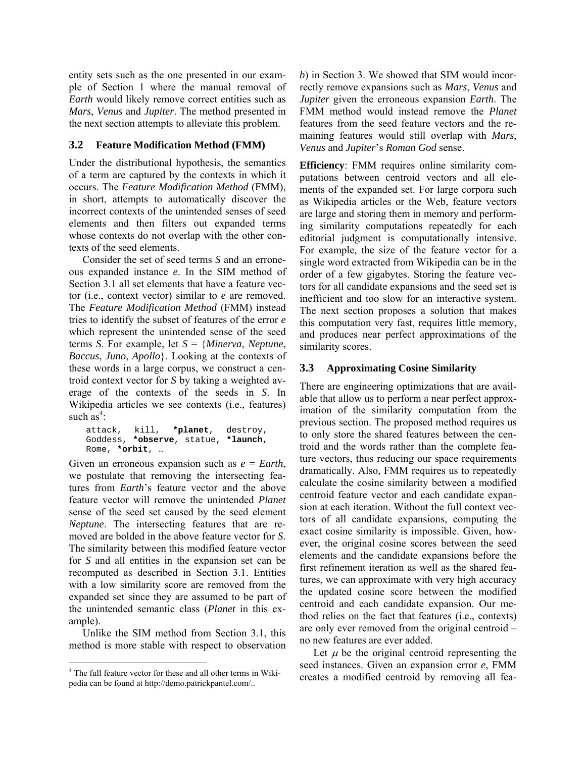entity sets such as the one presented in our example of Section 1 where the manual removal of *Earth* would likely remove correct entities such as *Mars*, *Venus* and *Jupiter*. The method presented in the next section attempts to alleviate this problem.

# **3.2 Feature Modification Method (FMM)**

Under the distributional hypothesis, the semantics of a term are captured by the contexts in which it occurs. The *Feature Modification Method* (FMM), in short, attempts to automatically discover the incorrect contexts of the unintended senses of seed elements and then filters out expanded terms whose contexts do not overlap with the other contexts of the seed elements.

Consider the set of seed terms *S* and an erroneous expanded instance *e*. In the SIM method of Section 3.1 all set elements that have a feature vector (i.e., context vector) similar to *e* are removed. The *Feature Modification Method* (FMM) instead tries to identify the subset of features of the error *e* which represent the unintended sense of the seed terms *S*. For example, let *S* = {*Minerva*, *Neptune*, *Baccus*, *Juno*, *Apollo*}. Looking at the contexts of these words in a large corpus, we construct a centroid context vector for *S* by taking a weighted average of the contexts of the seeds in *S*. In Wikipedia articles we see contexts (i.e., features) such  $\mathbf{a} \mathbf{s}^4$ :

attack, kill, **\*planet**, destroy, Goddess, **\*observe**, statue, **\*launch**, Rome, **\*orbit**, …

Given an erroneous expansion such as *e* = *Earth*, we postulate that removing the intersecting features from *Earth*'s feature vector and the above feature vector will remove the unintended *Planet* sense of the seed set caused by the seed element *Neptune*. The intersecting features that are removed are bolded in the above feature vector for *S*. The similarity between this modified feature vector for *S* and all entities in the expansion set can be recomputed as described in Section 3.1. Entities with a low similarity score are removed from the expanded set since they are assumed to be part of the unintended semantic class (*Planet* in this example).

Unlike the SIM method from Section 3.1, this method is more stable with respect to observation *b*) in Section 3. We showed that SIM would incorrectly remove expansions such as *Mars*, *Venus* and *Jupiter* given the erroneous expansion *Earth*. The FMM method would instead remove the *Planet* features from the seed feature vectors and the remaining features would still overlap with *Mars*, *Venus* and *Jupiter*'s *Roman God* sense.

**Efficiency**: FMM requires online similarity computations between centroid vectors and all elements of the expanded set. For large corpora such as Wikipedia articles or the Web, feature vectors are large and storing them in memory and performing similarity computations repeatedly for each editorial judgment is computationally intensive. For example, the size of the feature vector for a single word extracted from Wikipedia can be in the order of a few gigabytes. Storing the feature vectors for all candidate expansions and the seed set is inefficient and too slow for an interactive system. The next section proposes a solution that makes this computation very fast, requires little memory, and produces near perfect approximations of the similarity scores.

# **3.3 Approximating Cosine Similarity**

There are engineering optimizations that are available that allow us to perform a near perfect approximation of the similarity computation from the previous section. The proposed method requires us to only store the shared features between the centroid and the words rather than the complete feature vectors, thus reducing our space requirements dramatically. Also, FMM requires us to repeatedly calculate the cosine similarity between a modified centroid feature vector and each candidate expansion at each iteration. Without the full context vectors of all candidate expansions, computing the exact cosine similarity is impossible. Given, however, the original cosine scores between the seed elements and the candidate expansions before the first refinement iteration as well as the shared features, we can approximate with very high accuracy the updated cosine score between the modified centroid and each candidate expansion. Our method relies on the fact that features (i.e., contexts) are only ever removed from the original centroid – no new features are ever added.

Let  $\mu$  be the original centroid representing the seed instances. Given an expansion error *e*, FMM creates a modified centroid by removing all fea-

 $\overline{a}$ <sup>4</sup> The full feature vector for these and all other terms in Wikipedia can be found at http://demo.patrickpantel.com/..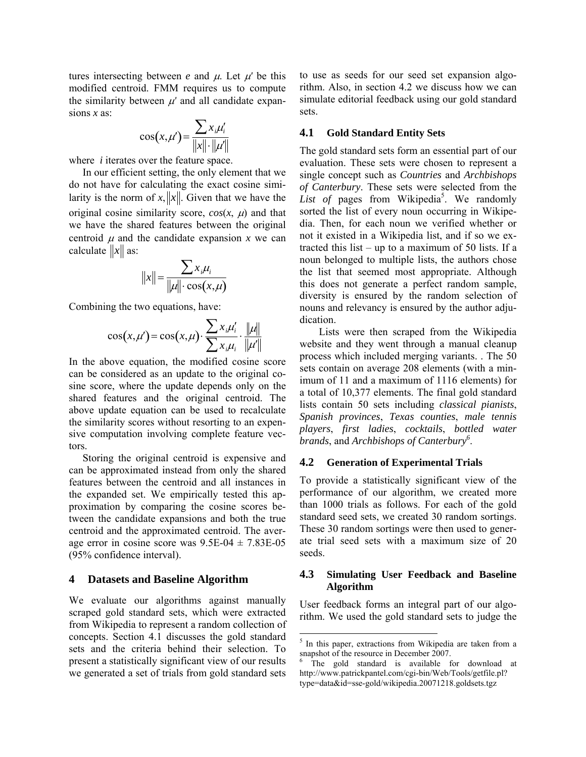tures intersecting between *e* and  $\mu$ . Let  $\mu'$  be this modified centroid. FMM requires us to compute the similarity between μ*'* and all candidate expansions *x* as:

$$
\cos(x,\mu') = \frac{\sum x_i \mu'_i}{\|x\| \cdot \|\mu'\|}
$$

where *i* iterates over the feature space.

In our efficient setting, the only element that we do not have for calculating the exact cosine similarity is the norm of  $x$ ,  $||x||$ . Given that we have the original cosine similarity score,  $cos(x, \mu)$  and that we have the shared features between the original centroid  $\mu$  and the candidate expansion  $\chi$  we can calculate  $||x||$  as:

$$
||x|| = \frac{\sum x_i \mu_i}{||\mu|| \cdot \cos(x, \mu)}
$$

Combining the two equations, have:

$$
\cos(x,\mu') = \cos(x,\mu) \cdot \frac{\sum x_i \mu'_i}{\sum x_i \mu_i} \cdot \frac{\|\mu\|}{\|\mu'\|}
$$

In the above equation, the modified cosine score can be considered as an update to the original cosine score, where the update depends only on the shared features and the original centroid. The above update equation can be used to recalculate the similarity scores without resorting to an expensive computation involving complete feature vectors.

Storing the original centroid is expensive and can be approximated instead from only the shared features between the centroid and all instances in the expanded set. We empirically tested this approximation by comparing the cosine scores between the candidate expansions and both the true centroid and the approximated centroid. The average error in cosine score was  $9.5E-04 \pm 7.83E-05$ (95% confidence interval).

#### **4 Datasets and Baseline Algorithm**

We evaluate our algorithms against manually scraped gold standard sets, which were extracted from Wikipedia to represent a random collection of concepts. Section 4.1 discusses the gold standard sets and the criteria behind their selection. To present a statistically significant view of our results we generated a set of trials from gold standard sets

to use as seeds for our seed set expansion algorithm. Also, in section 4.2 we discuss how we can simulate editorial feedback using our gold standard sets.

#### **4.1 Gold Standard Entity Sets**

The gold standard sets form an essential part of our evaluation. These sets were chosen to represent a single concept such as *Countries* and *Archbishops of Canterbury*. These sets were selected from the List of pages from Wikipedia<sup>5</sup>. We randomly sorted the list of every noun occurring in Wikipedia. Then, for each noun we verified whether or not it existed in a Wikipedia list, and if so we extracted this list – up to a maximum of 50 lists. If a noun belonged to multiple lists, the authors chose the list that seemed most appropriate. Although this does not generate a perfect random sample, diversity is ensured by the random selection of nouns and relevancy is ensured by the author adjudication.

Lists were then scraped from the Wikipedia website and they went through a manual cleanup process which included merging variants. . The 50 sets contain on average 208 elements (with a minimum of 11 and a maximum of 1116 elements) for a total of 10,377 elements. The final gold standard lists contain 50 sets including *classical pianists*, *Spanish provinces*, *Texas counties*, *male tennis players*, *first ladies*, *cocktails*, *bottled water brands*, and *Archbishops of Canterbury6* .

### **4.2 Generation of Experimental Trials**

To provide a statistically significant view of the performance of our algorithm, we created more than 1000 trials as follows. For each of the gold standard seed sets, we created 30 random sortings. These 30 random sortings were then used to generate trial seed sets with a maximum size of 20 seeds.

#### **4.3 Simulating User Feedback and Baseline Algorithm**

User feedback forms an integral part of our algorithm. We used the gold standard sets to judge the

 $\overline{a}$ 

<sup>&</sup>lt;sup>5</sup> In this paper, extractions from Wikipedia are taken from a snapshot of the resource in December 2007.

The gold standard is available for download at http://www.patrickpantel.com/cgi-bin/Web/Tools/getfile.pl? type=data&id=sse-gold/wikipedia.20071218.goldsets.tgz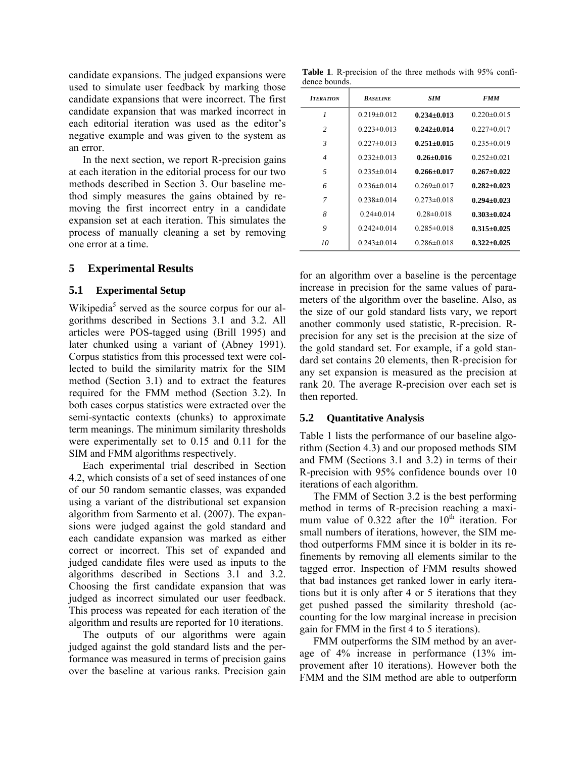candidate expansions. The judged expansions were used to simulate user feedback by marking those candidate expansions that were incorrect. The first candidate expansion that was marked incorrect in each editorial iteration was used as the editor's negative example and was given to the system as an error.

In the next section, we report R-precision gains at each iteration in the editorial process for our two methods described in Section 3. Our baseline method simply measures the gains obtained by removing the first incorrect entry in a candidate expansion set at each iteration. This simulates the process of manually cleaning a set by removing one error at a time.

## **5 Experimental Results**

#### **5.1 Experimental Setup**

Wikipedia<sup>5</sup> served as the source corpus for our algorithms described in Sections 3.1 and 3.2. All articles were POS-tagged using (Brill 1995) and later chunked using a variant of (Abney 1991). Corpus statistics from this processed text were collected to build the similarity matrix for the SIM method (Section 3.1) and to extract the features required for the FMM method (Section 3.2). In both cases corpus statistics were extracted over the semi-syntactic contexts (chunks) to approximate term meanings. The minimum similarity thresholds were experimentally set to 0.15 and 0.11 for the SIM and FMM algorithms respectively.

Each experimental trial described in Section 4.2, which consists of a set of seed instances of one of our 50 random semantic classes, was expanded using a variant of the distributional set expansion algorithm from Sarmento et al. (2007). The expansions were judged against the gold standard and each candidate expansion was marked as either correct or incorrect. This set of expanded and judged candidate files were used as inputs to the algorithms described in Sections 3.1 and 3.2. Choosing the first candidate expansion that was judged as incorrect simulated our user feedback. This process was repeated for each iteration of the algorithm and results are reported for 10 iterations.

The outputs of our algorithms were again judged against the gold standard lists and the performance was measured in terms of precision gains over the baseline at various ranks. Precision gain

**Table 1**. R-precision of the three methods with 95% confidence bounds.

| <b>ITERATION</b>         | <b>BASELINE</b>   | SIM               | <b>FMM</b>        |
|--------------------------|-------------------|-------------------|-------------------|
| 1                        | $0.219 \pm 0.012$ | $0.234 + 0.013$   | $0.220 \pm 0.015$ |
| $\mathfrak{D}$           | $0.223 \pm 0.013$ | $0.242 + 0.014$   | $0.227 \pm 0.017$ |
| $\mathfrak{Z}$           | $0.227 \pm 0.013$ | $0.251 + 0.015$   | $0.235 \pm 0.019$ |
| $\overline{\mathcal{A}}$ | $0.232 \pm 0.013$ | $0.26 + 0.016$    | $0.252 \pm 0.021$ |
| $\overline{5}$           | $0.235 \pm 0.014$ | $0.266 + 0.017$   | $0.267 + 0.022$   |
| 6                        | $0.236 \pm 0.014$ | $0.269 \pm 0.017$ | $0.282 + 0.023$   |
| 7                        | $0.238 \pm 0.014$ | $0.273 \pm 0.018$ | $0.294 + 0.023$   |
| 8                        | $0.24 \pm 0.014$  | $0.28 \pm 0.018$  | $0.303 + 0.024$   |
| 9                        | $0.242 \pm 0.014$ | $0.285 \pm 0.018$ | $0.315 + 0.025$   |
| 10                       | $0.243 \pm 0.014$ | $0.286 \pm 0.018$ | $0.322 + 0.025$   |

for an algorithm over a baseline is the percentage increase in precision for the same values of parameters of the algorithm over the baseline. Also, as the size of our gold standard lists vary, we report another commonly used statistic, R-precision. Rprecision for any set is the precision at the size of the gold standard set. For example, if a gold standard set contains 20 elements, then R-precision for any set expansion is measured as the precision at rank 20. The average R-precision over each set is then reported.

## **5.2 Quantitative Analysis**

Table 1 lists the performance of our baseline algorithm (Section 4.3) and our proposed methods SIM and FMM (Sections 3.1 and 3.2) in terms of their R-precision with 95% confidence bounds over 10 iterations of each algorithm.

The FMM of Section 3.2 is the best performing method in terms of R-precision reaching a maximum value of  $0.322$  after the  $10<sup>th</sup>$  iteration. For small numbers of iterations, however, the SIM method outperforms FMM since it is bolder in its refinements by removing all elements similar to the tagged error. Inspection of FMM results showed that bad instances get ranked lower in early iterations but it is only after 4 or 5 iterations that they get pushed passed the similarity threshold (accounting for the low marginal increase in precision gain for FMM in the first 4 to 5 iterations).

FMM outperforms the SIM method by an average of 4% increase in performance (13% improvement after 10 iterations). However both the FMM and the SIM method are able to outperform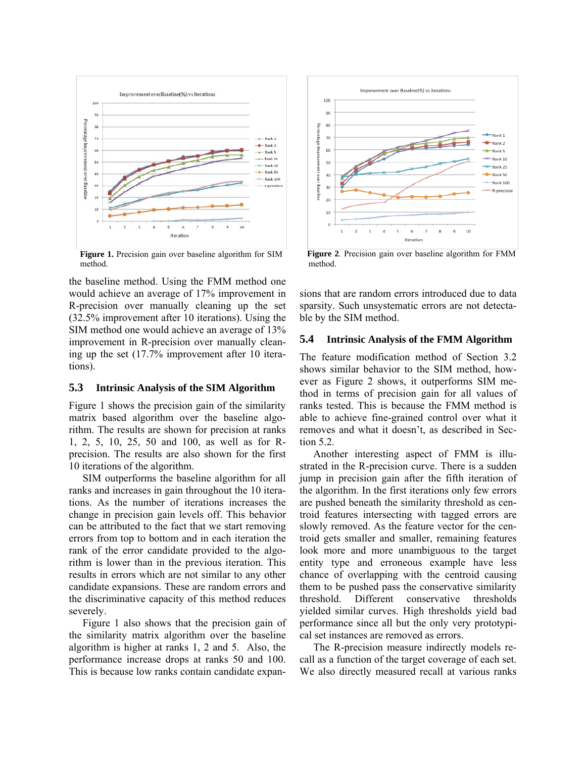

**Figure 1.** Precision gain over baseline algorithm for SIM method.

the baseline method. Using the FMM method one would achieve an average of 17% improvement in R-precision over manually cleaning up the set (32.5% improvement after 10 iterations). Using the SIM method one would achieve an average of 13% improvement in R-precision over manually cleaning up the set (17.7% improvement after 10 iterations).

#### **5.3 Intrinsic Analysis of the SIM Algorithm**

Figure 1 shows the precision gain of the similarity matrix based algorithm over the baseline algorithm. The results are shown for precision at ranks 1, 2, 5, 10, 25, 50 and 100, as well as for Rprecision. The results are also shown for the first 10 iterations of the algorithm.

SIM outperforms the baseline algorithm for all ranks and increases in gain throughout the 10 iterations. As the number of iterations increases the change in precision gain levels off. This behavior can be attributed to the fact that we start removing errors from top to bottom and in each iteration the rank of the error candidate provided to the algorithm is lower than in the previous iteration. This results in errors which are not similar to any other candidate expansions. These are random errors and the discriminative capacity of this method reduces severely.

Figure 1 also shows that the precision gain of the similarity matrix algorithm over the baseline algorithm is higher at ranks 1, 2 and 5. Also, the performance increase drops at ranks 50 and 100. This is because low ranks contain candidate expan-



**Figure 2**. Precision gain over baseline algorithm for FMM method.

sions that are random errors introduced due to data sparsity. Such unsystematic errors are not detectable by the SIM method.

#### **5.4 Intrinsic Analysis of the FMM Algorithm**

The feature modification method of Section 3.2 shows similar behavior to the SIM method, however as Figure 2 shows, it outperforms SIM method in terms of precision gain for all values of ranks tested. This is because the FMM method is able to achieve fine-grained control over what it removes and what it doesn't, as described in Section 5.2.

Another interesting aspect of FMM is illustrated in the R-precision curve. There is a sudden jump in precision gain after the fifth iteration of the algorithm. In the first iterations only few errors are pushed beneath the similarity threshold as centroid features intersecting with tagged errors are slowly removed. As the feature vector for the centroid gets smaller and smaller, remaining features look more and more unambiguous to the target entity type and erroneous example have less chance of overlapping with the centroid causing them to be pushed pass the conservative similarity threshold. Different conservative thresholds yielded similar curves. High thresholds yield bad performance since all but the only very prototypical set instances are removed as errors.

The R-precision measure indirectly models recall as a function of the target coverage of each set. We also directly measured recall at various ranks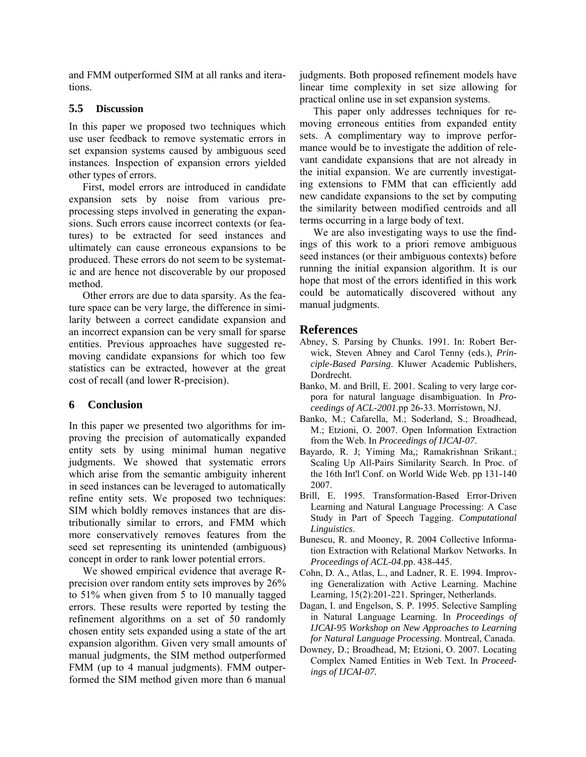and FMM outperformed SIM at all ranks and iterations.

### **5.5 Discussion**

In this paper we proposed two techniques which use user feedback to remove systematic errors in set expansion systems caused by ambiguous seed instances. Inspection of expansion errors yielded other types of errors.

First, model errors are introduced in candidate expansion sets by noise from various preprocessing steps involved in generating the expansions. Such errors cause incorrect contexts (or features) to be extracted for seed instances and ultimately can cause erroneous expansions to be produced. These errors do not seem to be systematic and are hence not discoverable by our proposed method.

Other errors are due to data sparsity. As the feature space can be very large, the difference in similarity between a correct candidate expansion and an incorrect expansion can be very small for sparse entities. Previous approaches have suggested removing candidate expansions for which too few statistics can be extracted, however at the great cost of recall (and lower R-precision).

## **6 Conclusion**

In this paper we presented two algorithms for improving the precision of automatically expanded entity sets by using minimal human negative judgments. We showed that systematic errors which arise from the semantic ambiguity inherent in seed instances can be leveraged to automatically refine entity sets. We proposed two techniques: SIM which boldly removes instances that are distributionally similar to errors, and FMM which more conservatively removes features from the seed set representing its unintended (ambiguous) concept in order to rank lower potential errors.

We showed empirical evidence that average Rprecision over random entity sets improves by 26% to 51% when given from 5 to 10 manually tagged errors. These results were reported by testing the refinement algorithms on a set of 50 randomly chosen entity sets expanded using a state of the art expansion algorithm. Given very small amounts of manual judgments, the SIM method outperformed FMM (up to 4 manual judgments). FMM outperformed the SIM method given more than 6 manual judgments. Both proposed refinement models have linear time complexity in set size allowing for practical online use in set expansion systems.

This paper only addresses techniques for removing erroneous entities from expanded entity sets. A complimentary way to improve performance would be to investigate the addition of relevant candidate expansions that are not already in the initial expansion. We are currently investigating extensions to FMM that can efficiently add new candidate expansions to the set by computing the similarity between modified centroids and all terms occurring in a large body of text.

We are also investigating ways to use the findings of this work to a priori remove ambiguous seed instances (or their ambiguous contexts) before running the initial expansion algorithm. It is our hope that most of the errors identified in this work could be automatically discovered without any manual judgments.

## **References**

- Abney, S. Parsing by Chunks. 1991. In: Robert Berwick, Steven Abney and Carol Tenny (eds.), *Principle-Based Parsing*. Kluwer Academic Publishers, Dordrecht.
- Banko, M. and Brill, E. 2001. Scaling to very large corpora for natural language disambiguation. In *Proceedings of ACL-2001*.pp 26-33. Morristown, NJ.
- Banko, M.; Cafarella, M.; Soderland, S.; Broadhead, M.; Etzioni, O. 2007. Open Information Extraction from the Web. In *Proceedings of IJCAI-07*.
- Bayardo, R. J; Yiming Ma,; Ramakrishnan Srikant.; Scaling Up All-Pairs Similarity Search. In Proc. of the 16th Int'l Conf. on World Wide Web. pp 131-140 2007.
- Brill, E. 1995. Transformation-Based Error-Driven Learning and Natural Language Processing: A Case Study in Part of Speech Tagging. *Computational Linguistics*.
- Bunescu, R. and Mooney, R. 2004 Collective Information Extraction with Relational Markov Networks. In *Proceedings of ACL-04*.pp. 438-445.
- Cohn, D. A., Atlas, L., and Ladner, R. E. 1994. Improving Generalization with Active Learning. Machine Learning, 15(2):201-221. Springer, Netherlands.
- Dagan, I. and Engelson, S. P. 1995. Selective Sampling in Natural Language Learning. In *Proceedings of IJCAI-95 Workshop on New Approaches to Learning for Natural Language Processing*. Montreal, Canada.
- Downey, D.; Broadhead, M; Etzioni, O. 2007. Locating Complex Named Entities in Web Text. In *Proceedings of IJCAI-07.*